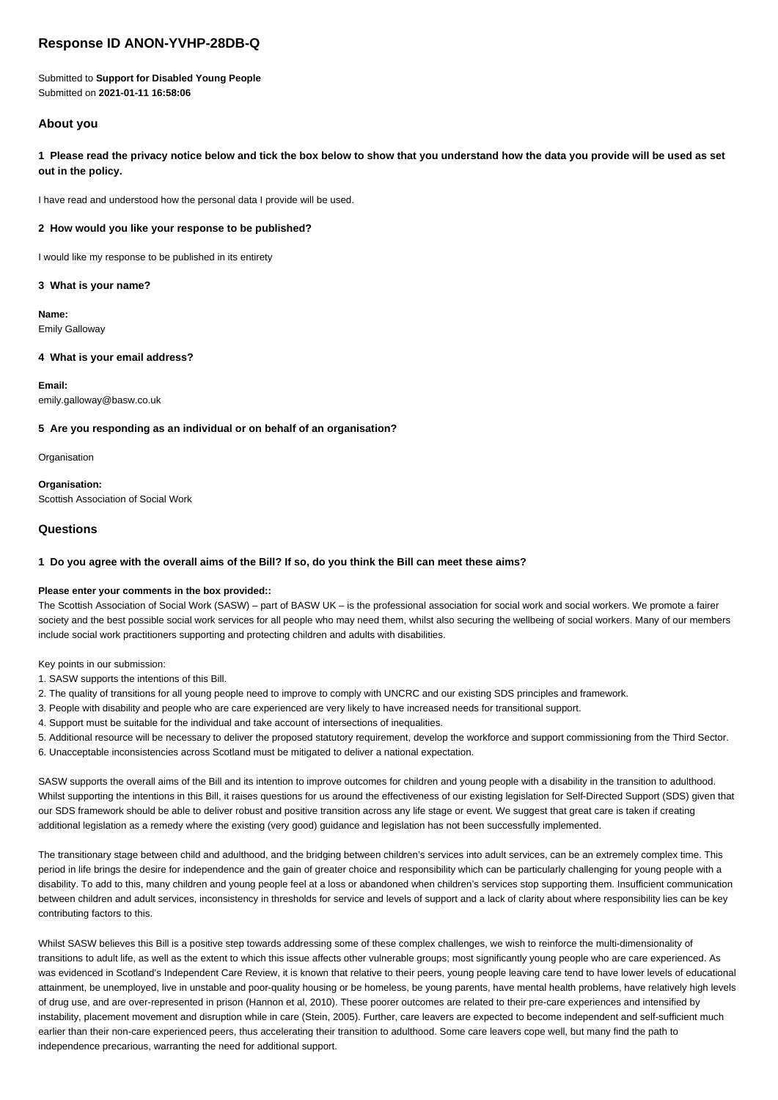# **Response ID ANON-YVHP-28DB-Q**

Submitted to **Support for Disabled Young People** Submitted on **2021-01-11 16:58:06**

## **About you**

**1 Please read the privacy notice below and tick the box below to show that you understand how the data you provide will be used as set out in the policy.**

I have read and understood how the personal data I provide will be used.

### **2 How would you like your response to be published?**

I would like my response to be published in its entirety

### **3 What is your name?**

**Name:** Emily Galloway

### **4 What is your email address?**

**Email:** emily.galloway@basw.co.uk

### **5 Are you responding as an individual or on behalf of an organisation?**

**Organisation** 

**Organisation:** Scottish Association of Social Work

## **Questions**

### **1 Do you agree with the overall aims of the Bill? If so, do you think the Bill can meet these aims?**

### **Please enter your comments in the box provided::**

The Scottish Association of Social Work (SASW) – part of BASW UK – is the professional association for social work and social workers. We promote a fairer society and the best possible social work services for all people who may need them, whilst also securing the wellbeing of social workers. Many of our members include social work practitioners supporting and protecting children and adults with disabilities.

Key points in our submission:

- 1. SASW supports the intentions of this Bill.
- 2. The quality of transitions for all young people need to improve to comply with UNCRC and our existing SDS principles and framework.
- 3. People with disability and people who are care experienced are very likely to have increased needs for transitional support.
- 4. Support must be suitable for the individual and take account of intersections of inequalities.
- 5. Additional resource will be necessary to deliver the proposed statutory requirement, develop the workforce and support commissioning from the Third Sector.
- 6. Unacceptable inconsistencies across Scotland must be mitigated to deliver a national expectation.

SASW supports the overall aims of the Bill and its intention to improve outcomes for children and young people with a disability in the transition to adulthood. Whilst supporting the intentions in this Bill, it raises questions for us around the effectiveness of our existing legislation for Self-Directed Support (SDS) given that our SDS framework should be able to deliver robust and positive transition across any life stage or event. We suggest that great care is taken if creating additional legislation as a remedy where the existing (very good) guidance and legislation has not been successfully implemented.

The transitionary stage between child and adulthood, and the bridging between children's services into adult services, can be an extremely complex time. This period in life brings the desire for independence and the gain of greater choice and responsibility which can be particularly challenging for young people with a disability. To add to this, many children and young people feel at a loss or abandoned when children's services stop supporting them. Insufficient communication between children and adult services, inconsistency in thresholds for service and levels of support and a lack of clarity about where responsibility lies can be key contributing factors to this.

Whilst SASW believes this Bill is a positive step towards addressing some of these complex challenges, we wish to reinforce the multi-dimensionality of transitions to adult life, as well as the extent to which this issue affects other vulnerable groups; most significantly young people who are care experienced. As was evidenced in Scotland's Independent Care Review, it is known that relative to their peers, young people leaving care tend to have lower levels of educational attainment, be unemployed, live in unstable and poor-quality housing or be homeless, be young parents, have mental health problems, have relatively high levels of drug use, and are over-represented in prison (Hannon et al, 2010). These poorer outcomes are related to their pre-care experiences and intensified by instability, placement movement and disruption while in care (Stein, 2005). Further, care leavers are expected to become independent and self-sufficient much earlier than their non-care experienced peers, thus accelerating their transition to adulthood. Some care leavers cope well, but many find the path to independence precarious, warranting the need for additional support.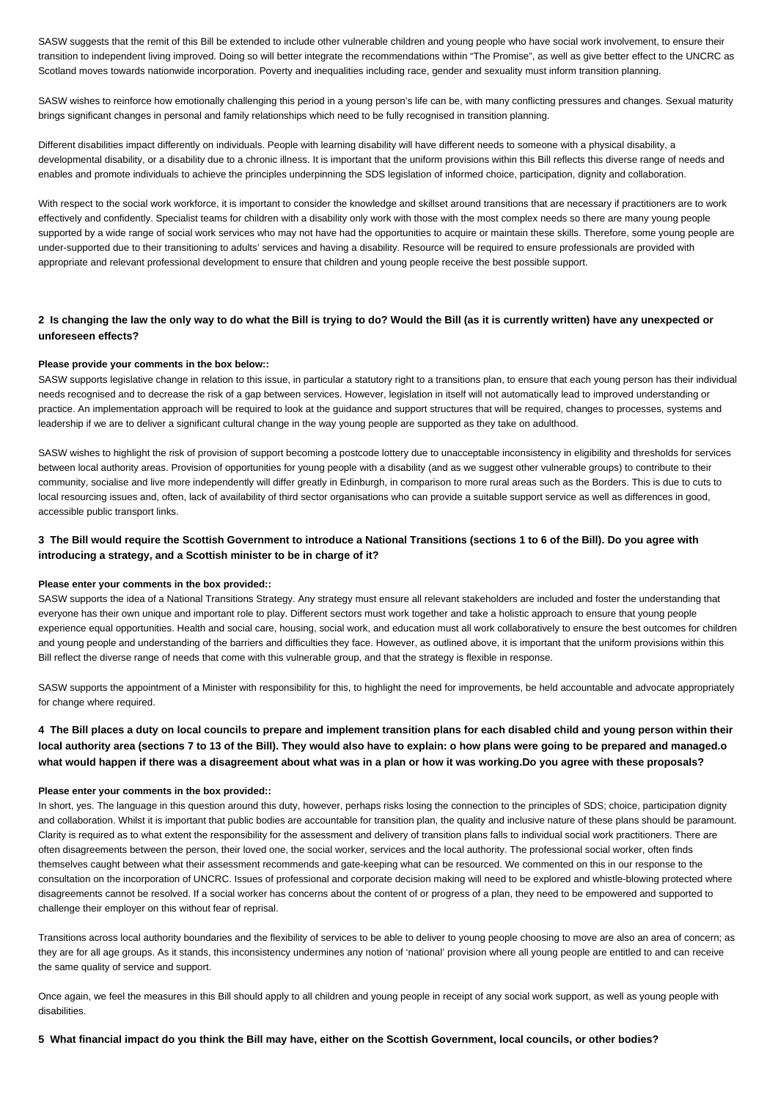SASW suggests that the remit of this Bill be extended to include other vulnerable children and young people who have social work involvement, to ensure their transition to independent living improved. Doing so will better integrate the recommendations within "The Promise", as well as give better effect to the UNCRC as Scotland moves towards nationwide incorporation. Poverty and inequalities including race, gender and sexuality must inform transition planning.

SASW wishes to reinforce how emotionally challenging this period in a young person's life can be, with many conflicting pressures and changes. Sexual maturity brings significant changes in personal and family relationships which need to be fully recognised in transition planning.

Different disabilities impact differently on individuals. People with learning disability will have different needs to someone with a physical disability, a developmental disability, or a disability due to a chronic illness. It is important that the uniform provisions within this Bill reflects this diverse range of needs and enables and promote individuals to achieve the principles underpinning the SDS legislation of informed choice, participation, dignity and collaboration.

With respect to the social work workforce, it is important to consider the knowledge and skillset around transitions that are necessary if practitioners are to work effectively and confidently. Specialist teams for children with a disability only work with those with the most complex needs so there are many young people supported by a wide range of social work services who may not have had the opportunities to acquire or maintain these skills. Therefore, some young people are under-supported due to their transitioning to adults' services and having a disability. Resource will be required to ensure professionals are provided with appropriate and relevant professional development to ensure that children and young people receive the best possible support.

## **2 Is changing the law the only way to do what the Bill is trying to do? Would the Bill (as it is currently written) have any unexpected or unforeseen effects?**

#### **Please provide your comments in the box below::**

SASW supports legislative change in relation to this issue, in particular a statutory right to a transitions plan, to ensure that each young person has their individual needs recognised and to decrease the risk of a gap between services. However, legislation in itself will not automatically lead to improved understanding or practice. An implementation approach will be required to look at the guidance and support structures that will be required, changes to processes, systems and leadership if we are to deliver a significant cultural change in the way young people are supported as they take on adulthood.

SASW wishes to highlight the risk of provision of support becoming a postcode lottery due to unacceptable inconsistency in eligibility and thresholds for services between local authority areas. Provision of opportunities for young people with a disability (and as we suggest other vulnerable groups) to contribute to their community, socialise and live more independently will differ greatly in Edinburgh, in comparison to more rural areas such as the Borders. This is due to cuts to local resourcing issues and, often, lack of availability of third sector organisations who can provide a suitable support service as well as differences in good, accessible public transport links.

## **3 The Bill would require the Scottish Government to introduce a National Transitions (sections 1 to 6 of the Bill). Do you agree with introducing a strategy, and a Scottish minister to be in charge of it?**

#### **Please enter your comments in the box provided::**

SASW supports the idea of a National Transitions Strategy. Any strategy must ensure all relevant stakeholders are included and foster the understanding that everyone has their own unique and important role to play. Different sectors must work together and take a holistic approach to ensure that young people experience equal opportunities. Health and social care, housing, social work, and education must all work collaboratively to ensure the best outcomes for children and young people and understanding of the barriers and difficulties they face. However, as outlined above, it is important that the uniform provisions within this Bill reflect the diverse range of needs that come with this vulnerable group, and that the strategy is flexible in response.

SASW supports the appointment of a Minister with responsibility for this, to highlight the need for improvements, be held accountable and advocate appropriately for change where required.

## **4 The Bill places a duty on local councils to prepare and implement transition plans for each disabled child and young person within their local authority area (sections 7 to 13 of the Bill). They would also have to explain: o how plans were going to be prepared and managed.o what would happen if there was a disagreement about what was in a plan or how it was working.Do you agree with these proposals?**

#### **Please enter your comments in the box provided::**

In short, yes. The language in this question around this duty, however, perhaps risks losing the connection to the principles of SDS; choice, participation dignity and collaboration. Whilst it is important that public bodies are accountable for transition plan, the quality and inclusive nature of these plans should be paramount. Clarity is required as to what extent the responsibility for the assessment and delivery of transition plans falls to individual social work practitioners. There are often disagreements between the person, their loved one, the social worker, services and the local authority. The professional social worker, often finds themselves caught between what their assessment recommends and gate-keeping what can be resourced. We commented on this in our response to the consultation on the incorporation of UNCRC. Issues of professional and corporate decision making will need to be explored and whistle-blowing protected where disagreements cannot be resolved. If a social worker has concerns about the content of or progress of a plan, they need to be empowered and supported to challenge their employer on this without fear of reprisal.

Transitions across local authority boundaries and the flexibility of services to be able to deliver to young people choosing to move are also an area of concern; as they are for all age groups. As it stands, this inconsistency undermines any notion of 'national' provision where all young people are entitled to and can receive the same quality of service and support.

Once again, we feel the measures in this Bill should apply to all children and young people in receipt of any social work support, as well as young people with disabilities.

#### **5 What financial impact do you think the Bill may have, either on the Scottish Government, local councils, or other bodies?**